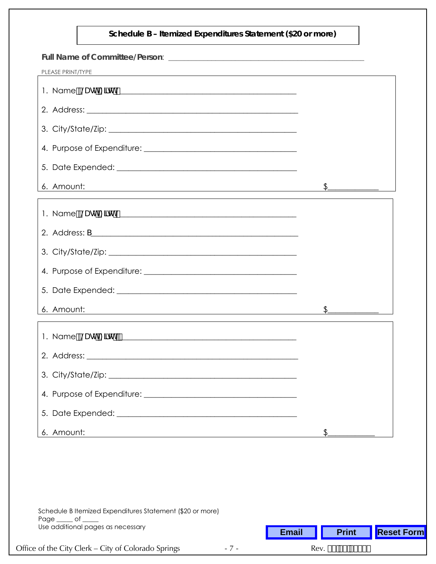## **Schedule B – Itemized Expenditures Statement (\$20 or more)**

| PLEASE PRINT/TYPE<br>,我们也不会有什么。""我们的人,我们也不会有什么?""我们的人,我们也不会有什么?""我们的人,我们也不会有什么?""我们的人,我们也不会有什么?""我们的人                                |               |
|--------------------------------------------------------------------------------------------------------------------------------------|---------------|
|                                                                                                                                      |               |
|                                                                                                                                      |               |
|                                                                                                                                      |               |
|                                                                                                                                      |               |
|                                                                                                                                      |               |
| 6. Amount:<br><u> 1980 - Johann Stoff, deutscher Stoffen und der Stoffen und der Stoffen und der Stoffen und der Stoffen und der</u> | $\frac{1}{2}$ |
|                                                                                                                                      |               |
|                                                                                                                                      |               |
|                                                                                                                                      |               |
|                                                                                                                                      |               |
|                                                                                                                                      |               |
| 6. Amount:<br><u> 1989 - Johann Stoff, deutscher Stoffen und der Stoffen und der Stoffen und der Stoffen und der Stoffen und der</u> | $\frac{1}{2}$ |
|                                                                                                                                      |               |
|                                                                                                                                      |               |
|                                                                                                                                      |               |
|                                                                                                                                      |               |
|                                                                                                                                      |               |
| 6. Amount:<br><u> 1989 - Johann Stoff, deutscher Stoffen und der Stoffen und der Stoffen und der Stoffen und der Stoffen und der</u> |               |

| Schedule B Itemized Expenditures Statement (\$20 or more)<br>Page of |       |              |                                  |                   |
|----------------------------------------------------------------------|-------|--------------|----------------------------------|-------------------|
| Use additional pages as necessary                                    |       | <b>Email</b> | <b>Print</b>                     | <b>Reset Form</b> |
| Office of the City Clerk – City of Colorado Springs                  | $-7-$ |              | Rev. \$& <del>\$</del> \$, #&\$% |                   |